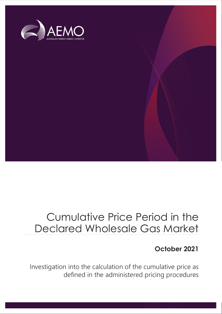

### Cumulative Price Period in the Declared Wholesale Gas Market

### **October 2021**

Investigation into the calculation of the cumulative price as defined in the administered pricing procedures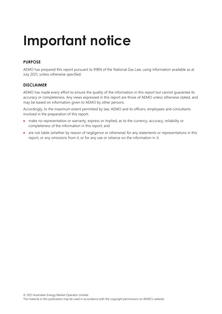## **Important notice**

#### **PURPOSE**

AEMO has prepared this report pursuant to 91BN of the National Gas Law, using information available as at July 2021, unless otherwise specified.

#### **DISCLAIMER**

AEMO has made every effort to ensure the quality of the information in this report but cannot guarantee its accuracy or completeness. Any views expressed in this report are those of AEMO unless otherwise stated, and may be based on information given to AEMO by other persons.

Accordingly, to the maximum extent permitted by law, AEMO and its officers, employees and consultants involved in the preparation of this report:

- make no representation or warranty, express or implied, as to the currency, accuracy, reliability or completeness of the information in this report; and
- are not liable (whether by reason of negligence or otherwise) for any statements or representations in this report, or any omissions from it, or for any use or reliance on the information in it.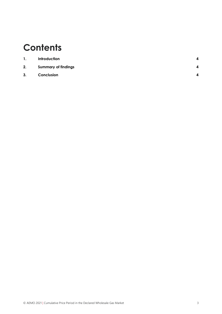### **Contents**

| $\mathbf{1}$ . | <b>Introduction</b>        | Δ |
|----------------|----------------------------|---|
| 2.             | <b>Summary of findings</b> | Δ |
| 3.             | Conclusion                 |   |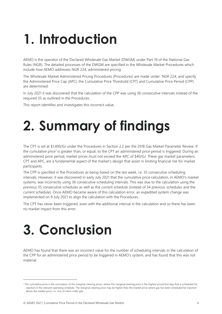## <span id="page-3-0"></span>**1. Introduction**

AEMO is the operator of the Declared Wholesale Gas Market (DWGM) under Part 19 of the National Gas Rules (NGR). The detailed processes of the DWGM are specified in the Wholesale Market Procedures which include how AEMO addresses NGR 224, administered pricing.

The Wholesale Market Administered Pricing Procedures (Procedures) are made under NGR 224, and specify the Administered Price Cap (APC), the Cumulative Price Threshold (CPT) and Cumulative Price Period (CPP) are determined.

In July 2021 it was discovered that the calculation of the CPP was using 36 consecutive intervals instead of the required 35 as outlined in the Procedures.

<span id="page-3-1"></span>This report identifies and investigates this incorrect value.

## **2. Summary of findings**

The CPT is set at \$1,400/GJ under the Procedures in Section 2.2 per the 2018 Gas Market Parameter Review. If the cumulative price<sup>1</sup> is greater than, or equal, to the CPT an administered price period is triggered. During an administered price period, market prices must not exceed the APC of \$40/GJ. These gas market parameters, CPT and APC, are a fundamental aspect of the market's design that assist in limiting financial risk for market participants.

The CPP is specified in the Procedures as being based on the last week, i.e. 35 consecutive scheduling intervals. However, it was discovered in early July 2021 that the cumulative price calculation, in AEMO's market systems, was incorrectly using 36 consecutive scheduling intervals. This was due to the calculation using the previous 35 consecutive schedules as well as the current schedule (instead of 34 previous schedules and the current schedule). Once AEMO became aware of this calculation error, an expedited system change was implemented on 9 July 2021 to align the calculation with the Procedures.

The CPT has never been triggered, even with the additional interval in the calculation and so there has been no market impact from this error.

# <span id="page-3-2"></span>**3. Conclusion**

AEMO has found that there was an incorrect value for the number of scheduling intervals in the calculation of the CPP for an administered price period to be triggered in AEMO's system, and has found that this was not material.

<sup>&</sup>lt;sup>1</sup> The cumulative price is the summation of the marginal clearing prices, where the marginal clearing price is the highest priced bid step that is scheduled for injection in the relevant operating schedule. The marginal clearing price may be higher than the market price where gas has been scheduled for injection above the market price, i.e., out-of-merit-order gas.